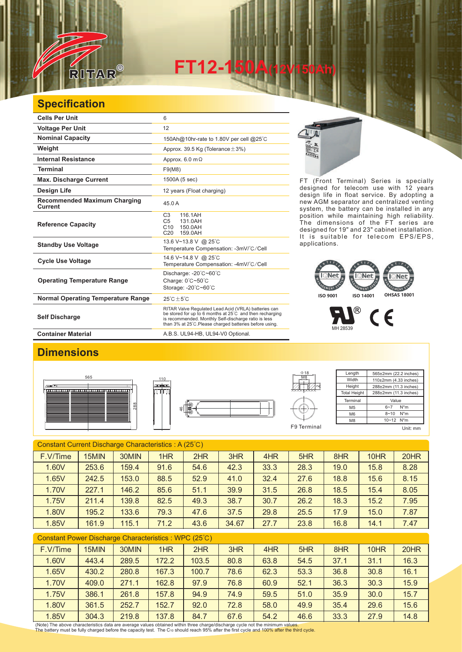

# **FT12-150**

## **Specification**

| <b>Cells Per Unit</b>                                 | 6                                                                                                                                                                                                                                   |  |  |  |  |  |
|-------------------------------------------------------|-------------------------------------------------------------------------------------------------------------------------------------------------------------------------------------------------------------------------------------|--|--|--|--|--|
| <b>Voltage Per Unit</b>                               | 12                                                                                                                                                                                                                                  |  |  |  |  |  |
| <b>Nominal Capacity</b>                               | 150Ah@10hr-rate to 1.80V per cell @25°C                                                                                                                                                                                             |  |  |  |  |  |
| Weight                                                | Approx. 39.5 Kg (Tolerance $\pm$ 3%)                                                                                                                                                                                                |  |  |  |  |  |
| <b>Internal Resistance</b>                            | Approx. $6.0 \text{ m}\Omega$                                                                                                                                                                                                       |  |  |  |  |  |
| <b>Terminal</b>                                       | F9(M8)                                                                                                                                                                                                                              |  |  |  |  |  |
| <b>Max. Discharge Current</b>                         | 1500A (5 sec)                                                                                                                                                                                                                       |  |  |  |  |  |
| Design Life                                           | 12 years (Float charging)                                                                                                                                                                                                           |  |  |  |  |  |
| <b>Recommended Maximum Charging</b><br><b>Current</b> | 45.0 A                                                                                                                                                                                                                              |  |  |  |  |  |
| <b>Reference Capacity</b>                             | C <sub>3</sub><br>116.1AH<br>C <sub>5</sub><br>131.0AH<br>C10<br>150.0AH<br>C <sub>20</sub><br>159.0AH                                                                                                                              |  |  |  |  |  |
| <b>Standby Use Voltage</b>                            | 13.6 V~13.8 V @ 25°C<br>Temperature Compensation: -3mV/°C/Cell                                                                                                                                                                      |  |  |  |  |  |
| <b>Cycle Use Voltage</b>                              | 14.6 V~14.8 V @ 25°C<br>Temperature Compensation: -4mV/°C/Cell                                                                                                                                                                      |  |  |  |  |  |
| <b>Operating Temperature Range</b>                    | Discharge: -20°C~60°C<br>Charge: $0^{\circ}$ C $\sim$ 50 $^{\circ}$ C<br>Storage: -20°C~60°C                                                                                                                                        |  |  |  |  |  |
| <b>Normal Operating Temperature Range</b>             | $25^{\circ}$ C + 5 $^{\circ}$ C                                                                                                                                                                                                     |  |  |  |  |  |
| <b>Self Discharge</b>                                 | RITAR Valve Regulated Lead Acid (VRLA) batteries can<br>be stored for up to 6 months at 25°C and then recharging<br>is recommended. Monthly Self-discharge ratio is less<br>than 3% at 25°C. Please charged batteries before using. |  |  |  |  |  |
| <b>Container Material</b>                             | A.B.S. UL94-HB, UL94-V0 Optional.                                                                                                                                                                                                   |  |  |  |  |  |



FT (Front Terminal) Series is specially designed for telecom use with 12 years design life in float service. By adopting a new AGM separator and centralized venting system, the battery can be installed in any position while maintaining high reliability. The dimensions of the FT series are designed for 19" and 23" cabinet installation. It is suitable for telecom EPS/EPS, applications.

#### Net **MONT** EMENT GATENT **ISO 9001 ISO 14001 OHSAS 18001**

 $\circledR$  $\epsilon$ MH 28539

### **Dimensions**







**Length** Width Height **Total Height** 565±2mm (22.2 inches) 110±2mm (4.33 inches) 288±2mm (11.3 inches) 288±2mm (11.3 inches) **Terminal**  $M<sub>5</sub>$  $\overline{M6}$ M8 Value  $6-7$  N<sup>\*</sup>m 8~10 N\*m 10~12 N\*m F9 Terminal Unit: mm

| Constant Current Discharge Characteristics: A (25°C) |       |       |      |      |       |      |      |      |      |      |
|------------------------------------------------------|-------|-------|------|------|-------|------|------|------|------|------|
| F.V/Time                                             | 15MIN | 30MIN | 1HR  | 2HR  | 3HR   | 4HR  | 5HR  | 8HR  | 10HR | 20HR |
| 1.60V                                                | 253.6 | 159.4 | 91.6 | 54.6 | 42.3  | 33.3 | 28.3 | 19.0 | 15.8 | 8.28 |
| 1.65V                                                | 242.5 | 153.0 | 88.5 | 52.9 | 41.0  | 32.4 | 27.6 | 18.8 | 15.6 | 8.15 |
| 1.70V                                                | 227.1 | 146.2 | 85.6 | 51.1 | 39.9  | 31.5 | 26.8 | 18.5 | 15.4 | 8.05 |
| 1.75V                                                | 211.4 | 139.8 | 82.5 | 49.3 | 38.7  | 30.7 | 26.2 | 18.3 | 15.2 | 7.95 |
| 1.80V                                                | 195.2 | 133.6 | 79.3 | 47.6 | 37.5  | 29.8 | 25.5 | 17.9 | 15.0 | 7.87 |
| 1.85V                                                | 161.9 | 115.1 | 71.2 | 43.6 | 34.67 | 27.7 | 23.8 | 16.8 | 14.1 | 7.47 |

| Constant Power Discharge Characteristics : WPC (25°C) |  |
|-------------------------------------------------------|--|
|-------------------------------------------------------|--|

| F.V/Time | 15MIN | 30MIN | 1HR   | 2HR   | 3HR  | 4HR  | 5HR  | 8HR  | 10HR | 20HR |
|----------|-------|-------|-------|-------|------|------|------|------|------|------|
| 1.60V    | 443.4 | 289.5 | 172.2 | 103.5 | 80.8 | 63.8 | 54.5 | 37.1 | 31.1 | 16.3 |
| 1.65V    | 430.2 | 280.8 | 167.3 | 100.7 | 78.6 | 62.3 | 53.3 | 36.8 | 30.8 | 16.1 |
| 1.70V    | 409.0 | 271.1 | 162.8 | 97.9  | 76.8 | 60.9 | 52.1 | 36.3 | 30.3 | 15.9 |
| 1.75V    | 386.1 | 261.8 | 157.8 | 94.9  | 74.9 | 59.5 | 51.0 | 35.9 | 30.0 | 15.7 |
| 1.80V    | 361.5 | 252.7 | 152.7 | 92.0  | 72.8 | 58.0 | 49.9 | 35.4 | 29.6 | 15.6 |
| 1.85V    | 304.3 | 219.8 | 137.8 | 84.7  | 67.6 | 54.2 | 46.6 | 33.3 | 27.9 | 14.8 |

(Note) The above characteristics data are average values obtained within three charge/discharge cycle not the minimum values.<br>The battery must be fully charged before the capacity test. The Cю should reach 95% after the f